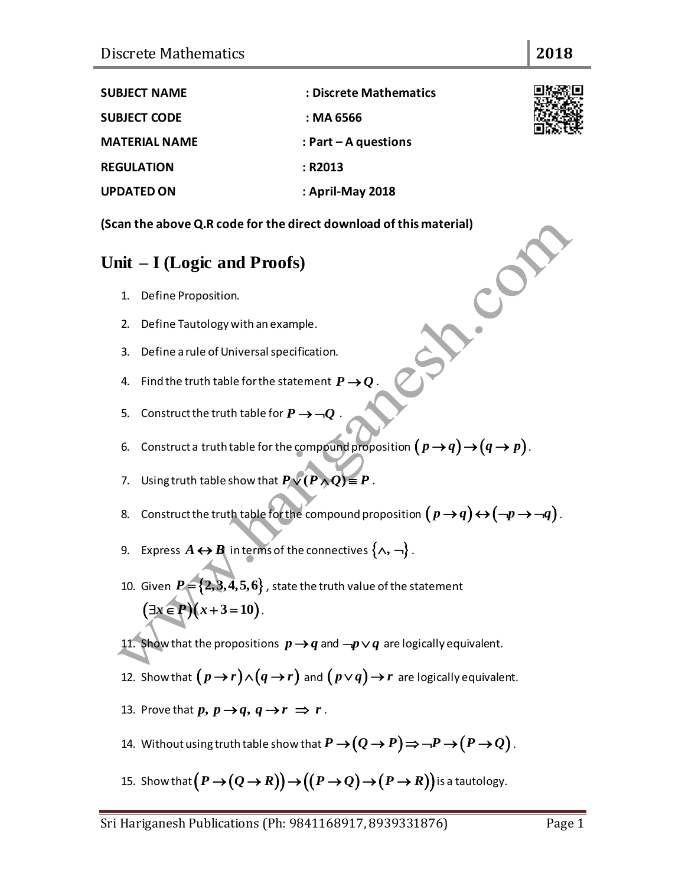| <b>SUBJECT NAME</b>  | : Discrete Mathematics |  |
|----------------------|------------------------|--|
| <b>SUBJECT CODE</b>  | : MA 6566              |  |
| <b>MATERIAL NAME</b> | : Part $-$ A questions |  |
| <b>REGULATION</b>    | : R2013                |  |
| <b>UPDATED ON</b>    | : April-May 2018       |  |

**(Scan the above Q.R code for the direct download of this material)**<br> **Unit – I (Logic and Proofs)**<br>
1. Define Proposition.<br>
2. Define intervals on the control of the state of the state of the state of the state of the sta

#### **Unit – I (Logic and Proofs)**

- 1. Define Proposition.
- 2. Define Tautology with an example.
- 3. Define a rule of Universal specification.
- 4. Find the truth table for the statement  $P \! \rightarrow \! Q$  .
- 5. Construct the truth table for  $P \rightarrow \neg Q$  .
- 6. Construct a truth table for the compound proposition  $(p \rightarrow q) \rightarrow (q \rightarrow p)$  .
- 7. Using truth table show that  $P \vee (P \wedge Q) \equiv P$  .
- 8. Construct the truth table for the compound proposition  $(p \rightarrow q) \leftrightarrow (\neg p \rightarrow \neg q)$  .
- 9. Express  $A \!\leftrightarrow\! \pmb{B}$  in terms of the connectives  $\{\wedge, \neg\}$  .
- 10. Given  $P = \{2,3,4,5,6\}$  , state the truth value of the statement  $(\exists x \in P)(x+3=10)$ .
- 11. Show that the propositions  $p \rightarrow q$  and  $\neg p \vee q$  are logically equivalent.
- 12. Show that  $(p \rightarrow r) \land (q \rightarrow r)$  and  $(p \lor q) \rightarrow r$  are logically equivalent.
- 13. Prove that  $p, p \rightarrow q, q \rightarrow r \Rightarrow r$  .
- 14. Without using truth table show that  $P \to (Q \to P)$   $\Rightarrow$   $\neg P \to (P \to Q)$  .
- 15. Show that  $\bigl(P\!\rightarrow\! (Q\!\rightarrow\! R)\bigr)\!\rightarrow\! \bigl((P\!\rightarrow\! Q)\!\rightarrow\! (P\!\rightarrow\! R)\bigr)$  is a tautology.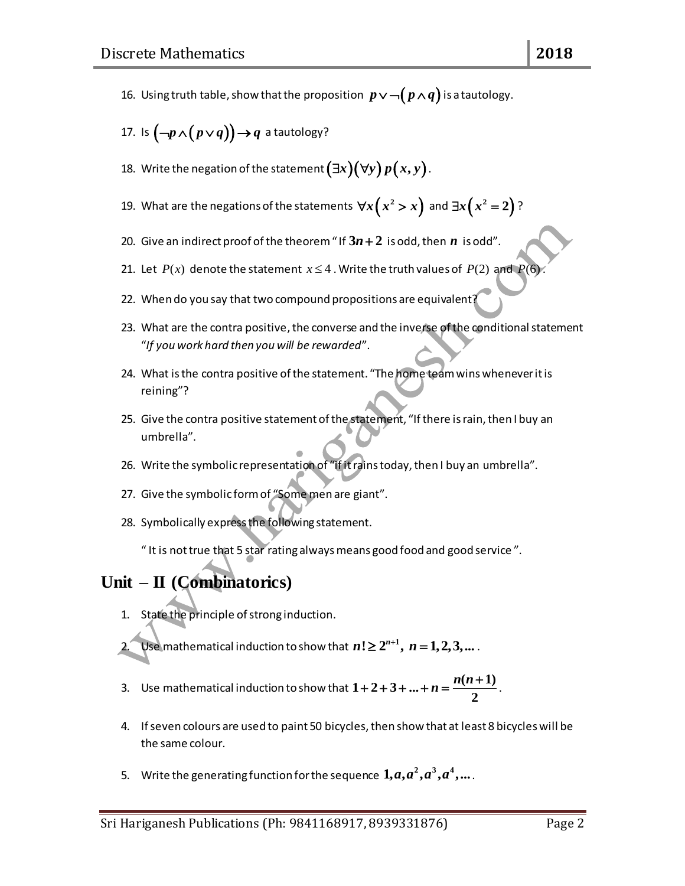- 16. Using truth table, show that the proposition  $\,p\!\vee\!\neg\!\big(\,p\!\wedge\!q\big)$  is a tautology.
- 17. Is  $\left(\neg p\!\wedge\!\left(p\!\vee\! q\right)\right)\!\rightarrow\! q$  a tautology?
- 18. Write the negation of the statement  $(\exists x)(\forall y)\,p(x,y)$  .
- 19. What are the negations of the statements  $\forall x \big(x^2 > x\big)$  and  $\exists x \big(x^2 = 2\big)$  ?
- 20. Give an indirect proof of the theorem "If  $3n+2$  is odd, then  $n$  is odd".
- 21. Let  $P(x)$  denote the statement  $x \le 4$ . Write the truth values of  $P(2)$  and  $P(6)$ .
- 22. When do you say that two compound propositions are equivalent?
- 23. What are the contra positive, the converse and the inverse of the conditional statement "*If you work hard then you will be rewarded*".
- 24. What is the contra positive of the statement. "The home team wins whenever it is reining"?
- 25. Give the contra positive statement of the statement, "If there is rain, then I buy an umbrella".
- 26. Write the symbolic representation of "if it rains today, then I buy an umbrella".
- 27. Give the symbolic form of "Some men are giant".
- 28. Symbolically express the following statement.
	- " It is not true that 5 star rating always means good food and good service ".

## **Unit – II (Combinatorics)**

- 1. State the principle of strong induction.
- 2. Use mathematical induction to show that  $n! \geq 2^{n+1}$ ,  $n = 1, 2, 3, ...$ .
- 3. Use mathematical induction to show that  $1 + 2 + 3 + ... + n = \frac{n(n+1)}{2}$  $+2+3+...+n=\frac{n(n+1)}{2}$ .
- 4. If seven colours are used to paint 50 bicycles, then show that at least 8 bicycles will be the same colour.
- 5. Write the generating function for the sequence  $\bm{1,} \bm{a,} \bm{a^2,} \bm{a^3,} \bm{a^4,} ...$  .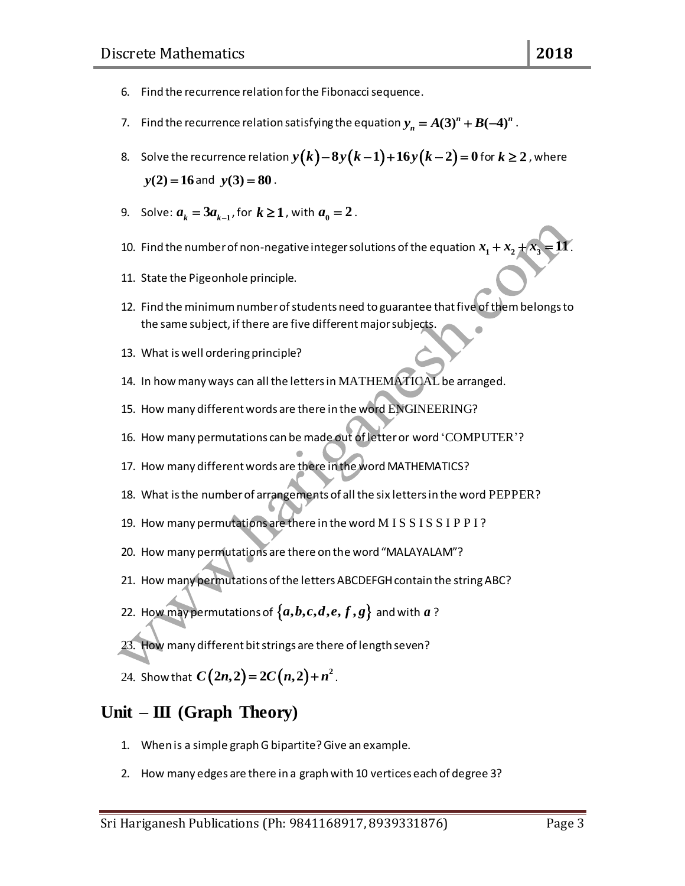- 6. Find the recurrence relation for the Fibonacci sequence.
- 7. Find the recurrence relation satisfying the equation  $y_{_n} = A(3)^n + B(-4)^n$  .
- 8. Solve the recurrence relation  $y(k)-8y(k-1)+16y(k-2)=0$  for  $k\geq 2$  , where  $y(2) = 16$  and  $y(3) = 80$ .
- 9. Solve:  $a_k = 3a_{k-1}$ , for  $k \ge 1$ , with  $a_0 = 2$ .
- 10. Find the number of non-negative integer solutions of the equation  $x_1 + x_2 + x_3 = 11$  .
- 11. State the Pigeonhole principle.
- 12. Find the minimum number of students need to guarantee that five of them belongs to the same subject, if there are five different major subjects.
- 13. What is well ordering principle?
- 14. In how many ways can all the letters in MATHEMATICAL be arranged.
- 15. How many different words are there in the word ENGINEERING?
- 16. How many permutations can be made out of letter or word 'COMPUTER'?
- 17. How many different words are there in the word MATHEMATICS?
- 18. What is the number of arrangements of all the six letters in the word PEPPER?
- 19. How many permutations are there in the word M I S S I S S I P P I ?
- 20. How many permutations are there on the word "MALAYALAM"?
- 21. How many permutations of the letters ABCDEFGH contain the string ABC?
- 22. How may permutations of  $\{a,b,c,d,e,f,g\}$  and with  $a$  ?
- 23. How many different bit strings are there of length seven?
- 24. Show that  $C(2n,2)$  =  $2C(n,2)$  +  $n^2$  .

#### **Unit – III (Graph Theory)**

- 1. When is a simple graph G bipartite? Give an example.
- 2. How many edges are there in a graph with 10 vertices each of degree 3?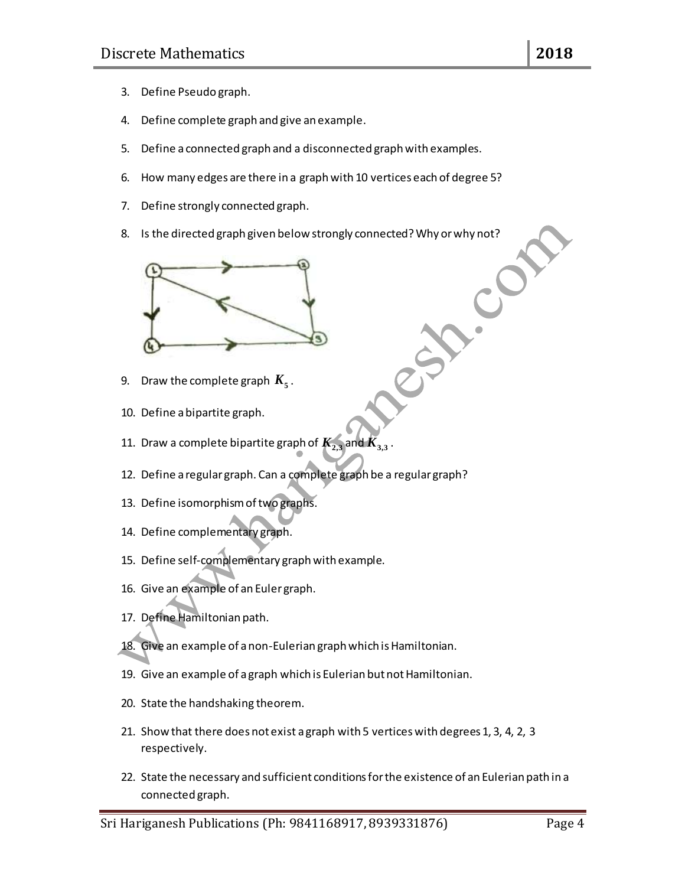- 3. Define Pseudo graph.
- 4. Define complete graph and give an example.
- 5. Define a connected graph and a disconnected graph with examples.
- 6. How many edges are there in a graph with 10 vertices each of degree 5?
- 7. Define strongly connected graph.
- 8. Is the directed graph given below strongly connected? Why or why not?



- 9.  $\;$  Draw the complete graph  $\emph{\textbf{K}}_{5}$  .
- 10. Define a bipartite graph.
- 11. Draw a complete bipartite graph of  $K_{2,3}$  and  $K_{3,3}$ .
- 12. Define a regular graph. Can a complete graph be a regular graph?
- 13. Define isomorphism of two graphs.
- 14. Define complementary graph.
- 15. Define self-complementary graph with example.
- 16. Give an example of an Euler graph.
- 17. Define Hamiltonian path.
- 18. Give an example of a non-Eulerian graph which is Hamiltonian.
- 19. Give an example of a graph which is Eulerian but not Hamiltonian.
- 20. State the handshaking theorem.
- 21. Show that there does not exist a graph with 5 vertices with degrees 1, 3, 4, 2, 3 respectively.
- 22. State the necessary and sufficient conditions for the existence of an Eulerian path in a connected graph.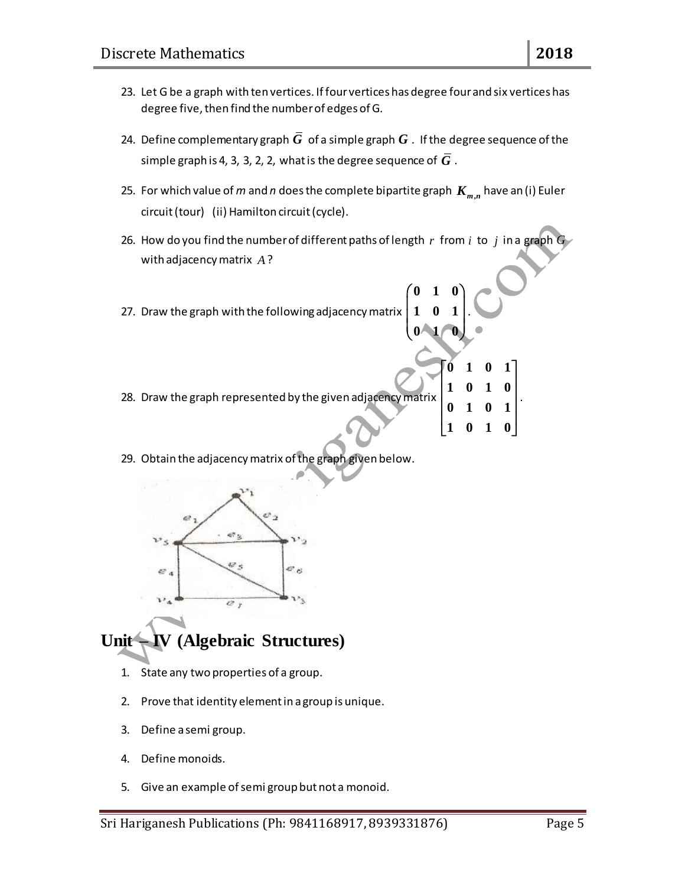- 23. Let G be a graph with ten vertices. If four vertices has degree four and six vertices has degree five, then find the number of edges of G.
- 24. Define complementary graph  $G\,$  of a simple graph  $G$  . If the degree sequence of the simple graph is 4, 3, 3, 2, 2, what is the degree sequence of  $\boldsymbol{G}$  .
- 25. For which value of  $m$  and  $n$  does the complete bipartite graph  $\boldsymbol{K}_{m,n}$  have an (i) Euler circuit (tour) (ii) Hamilton circuit (cycle).
- 26. How do you find the number of different paths of length  $r$  from  $i$  to  $j$  in a graph  $G$ with adjacency matrix *A* ?

**0 1 0**

**0 1 0**

.

**0 1 0 1**

**1 0 1 0**

 $\begin{bmatrix} 1 & 0 & 1 & 0 \end{bmatrix}$ 

.

- 27. Draw the graph with the following adjacency matrix **1 0 1**  $\begin{pmatrix} 0 & 1 & 0 \\ 1 & 0 & 1 \end{pmatrix}$  $\begin{pmatrix} 1 & 0 & 1 \\ 0 & 1 & 0 \end{pmatrix}$
- 28. Draw the graph represented by the given adjacency matrix **1 0 1 0 0 1 0 1**  $\begin{bmatrix} 1 & 0 & 1 & 0 \end{bmatrix}$  $\begin{bmatrix} 1 & 0 & 1 & 0 \end{bmatrix}$  $\begin{bmatrix} 0 & 1 & 0 & 1 \end{bmatrix}$
- 29. Obtain the adjacency matrix of the graph given below.



# **Unit – IV (Algebraic Structures)**

- 1. State any two properties of a group.
- 2. Prove that identity element in a group is unique.
- 3. Define a semi group.
- 4. Define monoids.
- 5. Give an example of semi group but not a monoid.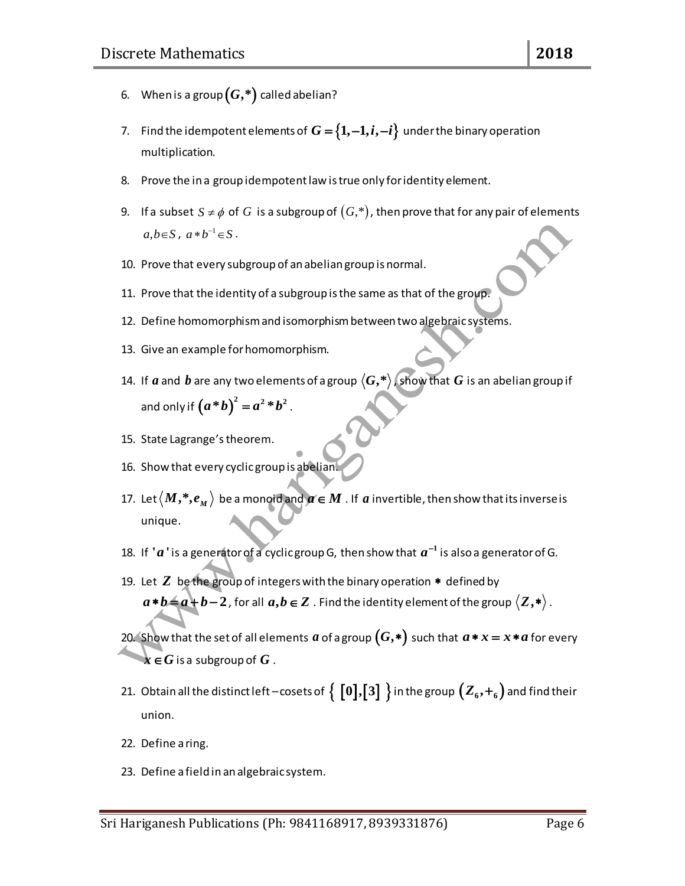- 6. When is a group  $(G, ^{\ast})$  called abelian?
- 7. Find the idempotent elements of  $G = \{1, -1, i, -i\}$  under the binary operation multiplication.
- 8. Prove the in a group idempotent law is true only for identity element.
- 9.  $\;$  If a subset  $\,S \neq \phi \,$  of  $\,G\,$  is a subgroup of  $(G, ^{*})$  , then prove that for any pair of elements  $a,b\in S$ ,  $a*b^{-1}\in S$ .
- 10. Prove that every subgroup of an abelian group is normal.
- 11. Prove that the identity of a subgroup is the same as that of the group.
- 12. Define homomorphism and isomorphism between two algebraic systems.
- 13. Give an example for homomorphism.
- 14. If  $a$  and  $b$  are any two elements of a group  $\langle G, ^{\ast}\rangle$  , show that  $G$  is an abelian group if and only if  $(a * b)^2 = a^2 * b^2$ .
- 15. State Lagrange's theorem.
- 16. Show that every cyclic group is abelian
- 17. Let  $\langle M, ^*, e_{_M} \rangle$  be a monoid and  $a \in M$  . If  $a$  invertible, then show that its inverse is unique.
- 18. If  $'a$  ' is a generator of a cyclic group G, then show that  $a^{-1}$  is also a generator of G.
- 19. Let  $Z$  be the group of integers with the binary operation  $*$  defined by  $a * b = a + b - 2$  , for all  $a, b \in Z$  . Find the identity element of the group  $\langle Z, * \rangle$  .
- 20. Show that the set of all elements  $a$  of a group  $(G,*)$  such that  $a*x = x*a$  for every  $\pmb{x} \in G$  is a subgroup of  $G$  .
- 21. Obtain all the distinct left cosets of  $\Set{0}, \boxed{3}$  in the group  $\bigl(Z_6, +_6\bigr)$  and find their union.
- 22. Define a ring.
- 23. Define a field in an algebraic system.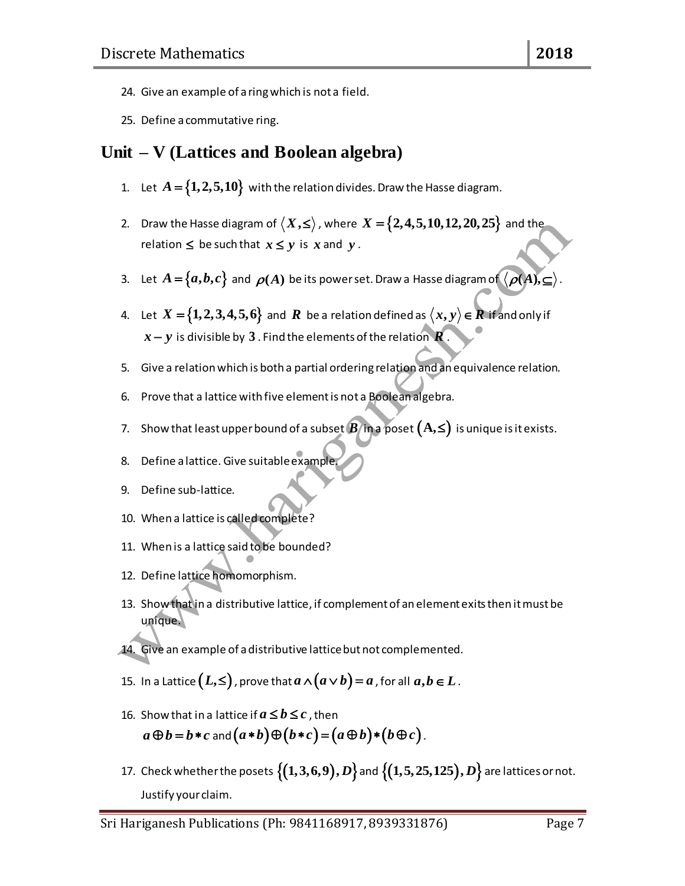- 24. Give an example of a ring which is not a field.
- 25. Define a commutative ring.

### **Unit – V (Lattices and Boolean algebra)**

- 1. Let  $A = \{1,2,5,10\}$  with the relation divides. Draw the Hasse diagram.
- 2. Draw the Hasse diagram of  $\langle X, \leq \rangle$  , where  $X$  =  $\{2,4,5,10,12,20,25\}$  and the relation  $\leq$  be such that  $x \leq y$  is x and y.
- 3. Let  $A = \{a,b,c\}$  and  $\bm{\rho}(A)$  be its power set. Draw a Hasse diagram of  $\langle \bm{\rho}(A), \bm{\subseteq} \rangle$ .
- 4. Let  $X = \{1,2,3,4,5,6\}$  and  $R$  be a relation defined as  $\langle x,y \rangle$   $\in$   $R$  if and only if  $x$   $y$  is divisible by  $\boldsymbol{3}$  . Find the elements of the relation  $\boldsymbol{R}$  .
- 5. Give a relation which is both a partial ordering relation and an equivalence relation.
- 6. Prove that a lattice with five element is not a Boolean algebra.
- 7. Show that least upper bound of a subset  $B$  in a poset  $(A,\le)$  is unique is it exists.
- 8. Define a lattice. Give suitable example.
- 9. Define sub-lattice.
- 10. When a lattice is called complete?
- 11. When is a lattice said to be bounded?
- 12. Define lattice homomorphism.
- 13. Show that in a distributive lattice, if complement of an element exits then it must be unique.
- 14. Give an example of a distributive lattice but not complemented.
- 15. In a Lattice  $\bigl(L,\leq\bigr)$  , prove that  $a\wedge\bigl(a\vee b\bigr)=a$  , for all  $a,b\in L$  .
- 16. Show that in a lattice if  $a\,{\leq}\, b \,{\leq}\, c$  , then Show that in a lattice if  $a\leq b\leq c$  , then<br> $a\oplus b=b*c$  and  $\big(a\ast b\big)\oplus\big(b\ast c\big)\!=\!\big(a\,\oplus b\big)\ast\big(b\,\oplus c\big)$  .
- 17. Check whether the posets  $\big\{ (1,3,6,9), D \big\}$  and  $\big\{ (1,5,25,125), D \big\}$  are lattices or not. Justify your claim.